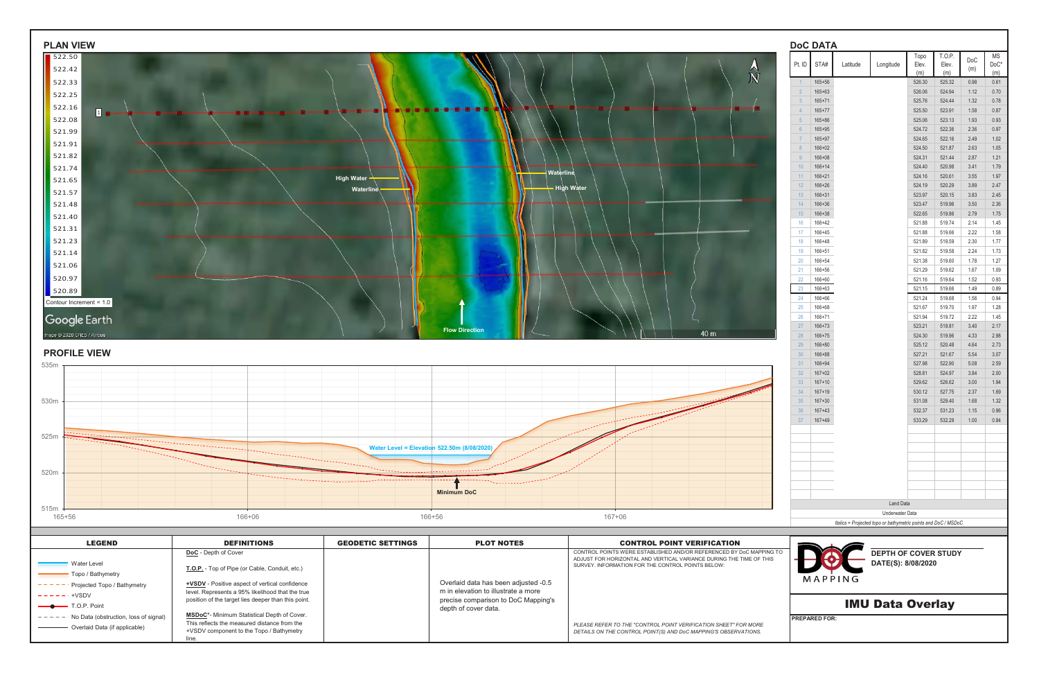| <b>PLAN VIEW</b>                                               |                                                       |                          |                                                             |                                                                                                                                            | <b>DoC DATA</b>       |                          |                                                                |                  |                         |                   |              |
|----------------------------------------------------------------|-------------------------------------------------------|--------------------------|-------------------------------------------------------------|--------------------------------------------------------------------------------------------------------------------------------------------|-----------------------|--------------------------|----------------------------------------------------------------|------------------|-------------------------|-------------------|--------------|
| 522.50<br>522.42                                               |                                                       |                          |                                                             |                                                                                                                                            | Pt. ID $STA#$         | Latitude                 | Longitude                                                      | Topo<br>Elev.    | T.O.P.<br>Elev.         | DoC<br>(m)        | ΜS<br>$DoC*$ |
| 522.33                                                         |                                                       |                          |                                                             | $\widehat{N}$                                                                                                                              |                       | 165+56                   |                                                                | (m)              | (m)                     |                   | (m)          |
| 522.25                                                         |                                                       |                          |                                                             |                                                                                                                                            |                       | $165 + 63$               |                                                                | 526.30<br>526.06 | 525.32<br>524.94        | 0.98<br>1.12      | 0.61<br>0.70 |
|                                                                |                                                       |                          |                                                             |                                                                                                                                            |                       | $165 + 71$               |                                                                | 525.76           | 524.44                  | 1.32              | 0.78         |
| 522.16<br>$\boxed{1}$<br>522.08                                |                                                       |                          |                                                             |                                                                                                                                            | 5 <sup>5</sup>        | $165 + 77$<br>$165 + 86$ |                                                                | 525.50<br>525.06 | 523.91<br>523.13        | 1.58<br>1.93      | 0.87<br>0.93 |
| 521.99                                                         |                                                       |                          |                                                             |                                                                                                                                            |                       | $165 + 95$               |                                                                | 524.72           | 522.36                  | 2.36              | 0.97         |
| 521.91                                                         |                                                       |                          |                                                             |                                                                                                                                            |                       | $165 + 97$               |                                                                | 524.65           | 522.16                  | 2.49              | 1.02         |
| 521.82                                                         |                                                       |                          |                                                             |                                                                                                                                            |                       | $166 + 02$<br>166+08     |                                                                | 524.50<br>524.31 | 521.87<br>521.44        | 2.63<br>2.87      | 1.05<br>1.21 |
| 521.74                                                         |                                                       |                          |                                                             |                                                                                                                                            | $10-10$               | $166 + 14$               |                                                                | 524.40           | 520.98                  | 3.41              | 1.79         |
| 521.65                                                         |                                                       | High Water -             | Waterline                                                   |                                                                                                                                            | $11 -$                | $166 + 21$               |                                                                | 524.16           | 520.61                  | 3.55              | 1.97         |
| 521.57                                                         |                                                       | Waterline                |                                                             | <b>High Water</b>                                                                                                                          | 12<br>13              | $166 + 26$<br>$166 + 31$ |                                                                | 524.19<br>523.97 | 520.29<br>520.15        | 3.89<br>3.83      | 2.47<br>2.45 |
| 521.48                                                         |                                                       |                          |                                                             |                                                                                                                                            | 14                    | 166+36                   |                                                                | 523.47           | 519.96                  | 3.50              | 2.36         |
| 521.40                                                         |                                                       |                          |                                                             |                                                                                                                                            | 15                    | $166 + 38$               |                                                                | 522.65           | 519.86                  | 2.79              | 1.75         |
| 521.31                                                         |                                                       |                          |                                                             |                                                                                                                                            | 16<br>17 <sup>2</sup> | 166+42<br>166+45         |                                                                | 521.88<br>521.88 | 519.74<br>519.66        | 2.14<br>2.22      | 1.45<br>1.58 |
| 521.23                                                         |                                                       |                          |                                                             |                                                                                                                                            | 18                    | 166+48                   |                                                                | 521.89           | 519.59                  | 2.30              | 1.77         |
| 521.14                                                         |                                                       |                          |                                                             |                                                                                                                                            | 19                    | 166+51                   |                                                                | 521.82           | 519.58                  | 2.24              | 1.73         |
| 521.06                                                         |                                                       |                          |                                                             |                                                                                                                                            | 20<br>21              | 166+54<br>166+56         |                                                                | 521.38<br>521.29 | 519.60<br>519.62        | 1.78<br>1.67      | 1.27<br>1.09 |
| 520.97                                                         |                                                       |                          |                                                             |                                                                                                                                            | 22                    | 166+60                   |                                                                | 521.16           | 519.64                  | 1.52              | 0.93         |
| 520.89                                                         |                                                       |                          |                                                             |                                                                                                                                            | 23                    | 166+63                   |                                                                | 521.15           | 519.66                  | 1.49              | 0.89         |
| Contour Increment = 1.0                                        |                                                       |                          |                                                             |                                                                                                                                            | 166+66<br>24<br>25    | 166+68                   |                                                                | 521.24<br>521.67 | 519.68<br>519.70        | 1.56<br>1.97      | 0.94<br>1.28 |
| Google Earth                                                   |                                                       |                          |                                                             |                                                                                                                                            | 26                    | $166 + 71$               |                                                                | 521.94           | 519.72                  | 2.22              | 1.45         |
|                                                                |                                                       |                          | <b>Flow Direction</b>                                       | 40 m                                                                                                                                       | 27                    | 166+73                   |                                                                | 523.21           | 519.81                  | 3.40              | 2.17         |
| mage © 2020 CNES / Airbus                                      |                                                       |                          |                                                             |                                                                                                                                            | 28<br>29              | $166 + 75$<br>$166 + 80$ |                                                                | 524.30<br>525.12 | 519.96<br>520.48        | 4.33<br>4.64      | 2.98<br>2.73 |
| <b>PROFILE VIEW</b>                                            |                                                       |                          |                                                             |                                                                                                                                            | 30 <sup>7</sup>       | $166 + 88$               |                                                                | 527.21           | 521.67                  | 5.54              | 3.07         |
|                                                                |                                                       |                          |                                                             |                                                                                                                                            | 31                    | 166+94                   |                                                                | 527.98           | 522.90                  | 5.08              | 2.59         |
|                                                                |                                                       |                          |                                                             |                                                                                                                                            | 32 <sup>2</sup><br>33 | $167 + 02$<br>$167 + 10$ |                                                                | 528.81<br>529.62 | 524.97<br>526.62        | 3.84<br>3.00      | 2.00<br>1.94 |
|                                                                |                                                       |                          |                                                             |                                                                                                                                            | 34                    | $167 + 19$               |                                                                | 530.12           | 527.75                  | 2.37              | 1.69         |
|                                                                |                                                       |                          |                                                             |                                                                                                                                            | 35 <sup>7</sup>       | $167 + 30$               |                                                                | 531.08           | 529.40                  | 1.68              | 1.32         |
|                                                                |                                                       |                          |                                                             |                                                                                                                                            | 36<br>37              | $167 + 43$<br>167+49     |                                                                | 532.37           | 531.23<br>533.29 532.29 | 1.15<br>1.00 0.84 | 0.96         |
|                                                                |                                                       |                          |                                                             |                                                                                                                                            |                       |                          |                                                                |                  |                         |                   |              |
| 525m                                                           |                                                       |                          |                                                             |                                                                                                                                            |                       |                          |                                                                |                  |                         |                   |              |
|                                                                |                                                       |                          | Water Level = Elevation 522.50m (8/08/2020                  |                                                                                                                                            |                       |                          |                                                                |                  |                         |                   |              |
|                                                                |                                                       |                          |                                                             |                                                                                                                                            |                       |                          |                                                                |                  |                         |                   |              |
| 520m                                                           |                                                       |                          | .                                                           |                                                                                                                                            |                       |                          |                                                                |                  |                         |                   |              |
|                                                                |                                                       |                          | <b>Minimum DoC</b>                                          |                                                                                                                                            |                       |                          |                                                                |                  |                         |                   |              |
|                                                                |                                                       |                          |                                                             |                                                                                                                                            |                       |                          | Land Data                                                      |                  |                         |                   |              |
| 515m<br>165+56                                                 | 166+06                                                |                          | 166+56                                                      | $167 + 06$                                                                                                                                 |                       |                          | Underwater Data                                                |                  |                         |                   |              |
|                                                                |                                                       |                          |                                                             |                                                                                                                                            |                       |                          | Italics = Projected topo or bathymetric points and DoC / MSDoC |                  |                         |                   |              |
| <b>LEGEND</b>                                                  | <b>DEFINITIONS</b>                                    | <b>GEODETIC SETTINGS</b> | <b>PLOT NOTES</b>                                           | <b>CONTROL POINT VERIFICATION</b>                                                                                                          |                       |                          |                                                                |                  |                         |                   |              |
|                                                                | DoC - Depth of Cover                                  |                          |                                                             | CONTROL POINTS WERE ESTABLISHED AND/OR REFERENCED BY DoC MAPPING TO<br>ADJUST FOR HORIZONTAL AND VERTICAL VARIANCE DURING THE TIME OF THIS |                       |                          | <b>DEPTH OF COVER STUDY</b>                                    |                  |                         |                   |              |
| <b>Water Level</b>                                             | T.O.P. - Top of Pipe (or Cable, Conduit, etc.)        |                          |                                                             | SURVEY. INFORMATION FOR THE CONTROL POINTS BELOW:                                                                                          |                       |                          | DATE(S): 8/08/2020                                             |                  |                         |                   |              |
| - Topo / Bathymetry<br>$- - - - -$ Projected Topo / Bathymetry | <b>+VSDV</b> - Positive aspect of vertical confidence |                          | Overlaid data has been adjusted -0.5                        |                                                                                                                                            |                       | MAPPING                  |                                                                |                  |                         |                   |              |
| $------+VSDV$                                                  | level. Represents a 95% likelihood that the true      |                          | m in elevation to illustrate a more                         |                                                                                                                                            |                       |                          |                                                                |                  |                         |                   |              |
| T.O.P. Point                                                   | position of the target lies deeper than this point.   |                          | precise comparison to DoC Mapping's<br>depth of cover data. |                                                                                                                                            |                       |                          | <b>IMU Data Overlay</b>                                        |                  |                         |                   |              |
| $---$ - - No Data (obstruction, loss of signal)                | MSDoC*- Minimum Statistical Depth of Cover.           |                          |                                                             |                                                                                                                                            |                       |                          |                                                                |                  |                         |                   |              |
|                                                                | This reflects the measured distance from the          |                          |                                                             | PLEASE REFER TO THE "CONTROL POINT VERIFICATION SHEET" FOR MORE                                                                            | <b>PREPARED FOR:</b>  |                          |                                                                |                  |                         |                   |              |



| <b>LEGEND</b>                                                          | <b>DEFINITIONS</b>                                                                                                                                     | <b>GEODETIC SETTINGS</b> | <b>PLOT NOTES</b>                                                                                  | <b>CONTROL POINT VERIFICATION</b>                                                                                                                                                               |                                                              |
|------------------------------------------------------------------------|--------------------------------------------------------------------------------------------------------------------------------------------------------|--------------------------|----------------------------------------------------------------------------------------------------|-------------------------------------------------------------------------------------------------------------------------------------------------------------------------------------------------|--------------------------------------------------------------|
| <b>Water Level</b><br>Topo / Bathymetry<br>Projected Topo / Bathymetry | <b>DoC</b> - Depth of Cover<br>T.O.P. - Top of Pipe (or Cable, Conduit, etc.)<br>+VSDV - Positive aspect of vertical confidence                        |                          | Overlaid data has been adjusted -0.5                                                               | CONTROL POINTS WERE ESTABLISHED AND/OR REFERENCED BY DoC MAPPING TO<br>ADJUST FOR HORIZONTAL AND VERTICAL VARIANCE DURING THE TIME OF THIS<br>SURVEY. INFORMATION FOR THE CONTROL POINTS BELOW: | <b>DEPTH OF COVER STUDY</b><br>DATE(S): 8/08/2020<br>MAPPING |
| $- - - - - +$ +VSDV<br>$\longrightarrow$ T.O.P. Point                  | level. Represents a 95% likelihood that the true<br>position of the target lies deeper than this point.                                                |                          | m in elevation to illustrate a more<br>precise comparison to DoC Mapping's<br>depth of cover data. |                                                                                                                                                                                                 | <b>IMU Data Overlay</b>                                      |
| No Data (obstruction, loss of signal)<br>Overlaid Data (if applicable) | <b>MSDoC*-</b> Minimum Statistical Depth of Cover.<br>This reflects the measured distance from the<br>+VSDV component to the Topo / Bathymetry<br>line |                          |                                                                                                    | PLEASE REFER TO THE "CONTROL POINT VERIFICATION SHEET" FOR MORE<br>DETAILS ON THE CONTROL POINT(S) AND DoC MAPPING'S OBSERVATIONS.                                                              | <b>IPREPARED FOR:</b>                                        |

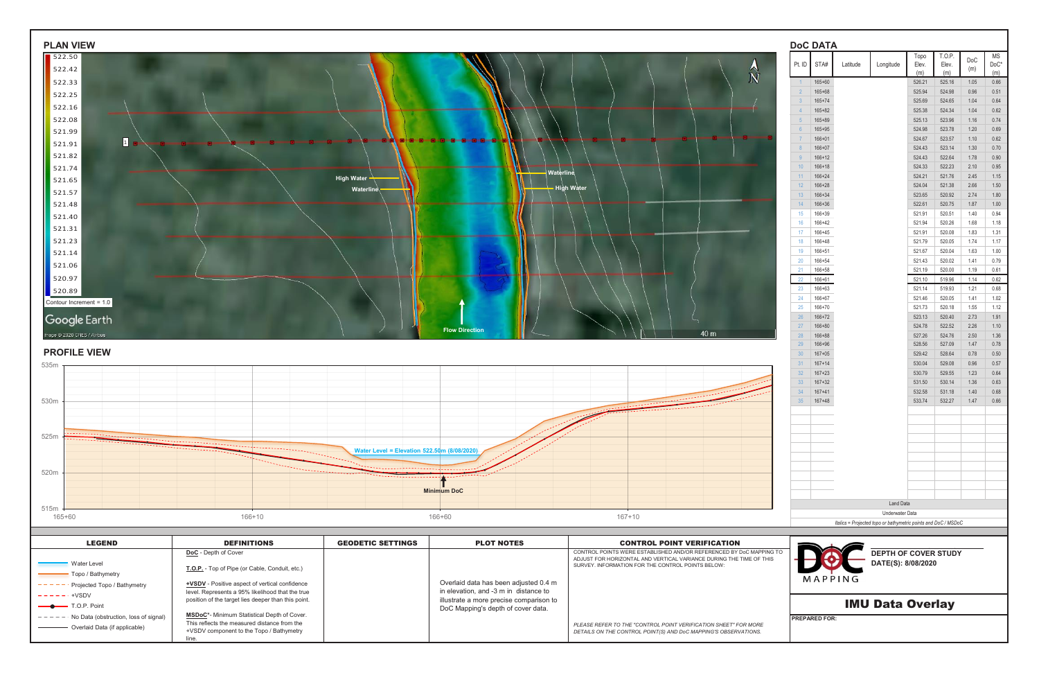| <b>PLAN VIEW</b>                                                                   |                                                                                                         |                                             |                                                                                  |                                                                                                          |                        | <b>DoC DATA</b>                         |                                                                                   |                  |                  |              |                            |
|------------------------------------------------------------------------------------|---------------------------------------------------------------------------------------------------------|---------------------------------------------|----------------------------------------------------------------------------------|----------------------------------------------------------------------------------------------------------|------------------------|-----------------------------------------|-----------------------------------------------------------------------------------|------------------|------------------|--------------|----------------------------|
| $\sqrt{522.50}$<br>522.42                                                          |                                                                                                         |                                             |                                                                                  |                                                                                                          |                        | Pt. ID $\sqrt{\text{STA#}}$<br>Latitude | Longitude                                                                         | Topo<br>Elev.    | T.O.P.<br>Elev.  | DoC<br>(m)   | ΜS<br>$\mathsf{DoC}^\star$ |
| 522.33                                                                             |                                                                                                         |                                             |                                                                                  | $\widehat{N}$                                                                                            |                        | $165 + 60$                              |                                                                                   | (m)<br>526.21    | (m)<br>525.16    | 1.05         | (m)<br>0.66                |
| 522.25                                                                             |                                                                                                         |                                             |                                                                                  |                                                                                                          |                        | $165 + 68$                              |                                                                                   | 525.94           | 524.98           | 0.96         | 0.51                       |
| 522.16                                                                             |                                                                                                         |                                             |                                                                                  |                                                                                                          |                        | $165 + 74$                              |                                                                                   | 525.69           | 524.65           | 1.04         | 0.64                       |
| 522.08                                                                             |                                                                                                         |                                             |                                                                                  |                                                                                                          | $\overline{4}$         | $165 + 82$<br>$165 + 89$                |                                                                                   | 525.38<br>525.13 | 524.34<br>523.96 | 1.04<br>1.16 | 0.62<br>0.74               |
| 521.99                                                                             |                                                                                                         |                                             |                                                                                  |                                                                                                          |                        | $165 + 95$                              |                                                                                   | 524.98           | 523.78           | 1.20         | 0.69                       |
| $\boxed{1}$<br>521.91                                                              |                                                                                                         |                                             |                                                                                  |                                                                                                          |                        | $166 + 01$                              |                                                                                   | 524.67           | 523.57           | 1.10         | 0.62                       |
| 521.82                                                                             |                                                                                                         |                                             |                                                                                  |                                                                                                          | 8<br>9                 | $166 + 07$<br>$166 + 12$                |                                                                                   | 524.43<br>524.43 | 523.14<br>522.64 | 1.30<br>1.78 | 0.70<br>0.90               |
| 521.74                                                                             |                                                                                                         |                                             |                                                                                  |                                                                                                          | 10 <sup>1</sup>        | $166 + 18$                              |                                                                                   | 524.33           | 522.23           | 2.10         | 0.95                       |
| 521.65                                                                             |                                                                                                         | High Water -                                | Waterline                                                                        |                                                                                                          | 11 <sup>1</sup>        | $166 + 24$                              |                                                                                   | 524.21           | 521.76           | 2.45         | 1.15                       |
| 521.57                                                                             |                                                                                                         | Waterline                                   |                                                                                  | <b>High Water</b>                                                                                        | 12<br>$13 -$           | $166 + 28$<br>$166 + 34$                |                                                                                   | 524.04<br>523.65 | 521.38<br>520.92 | 2.66<br>2.74 | 1.50<br>1.80               |
| 521.48                                                                             |                                                                                                         |                                             |                                                                                  |                                                                                                          | 14                     | $166 + 36$                              |                                                                                   | 522.61           | 520.75           | 1.87         | 1.00                       |
| 521.40                                                                             |                                                                                                         |                                             |                                                                                  |                                                                                                          | 15                     | 166+39                                  |                                                                                   | 521.91           | 520.51           | 1.40         | 0.94                       |
| 521.31                                                                             |                                                                                                         |                                             |                                                                                  |                                                                                                          | 16<br>17 <sub>17</sub> | 166+42<br>166+45                        |                                                                                   | 521.94<br>521.91 | 520.26<br>520.08 | 1.68<br>1.83 | 1.18<br>1.31               |
| 521.23                                                                             |                                                                                                         |                                             |                                                                                  |                                                                                                          | 18                     | 166+48                                  |                                                                                   | 521.79           | 520.05           | 1.74         | 1.17                       |
| 521.14                                                                             |                                                                                                         |                                             |                                                                                  |                                                                                                          | 19                     | 166+51                                  |                                                                                   | 521.67           | 520.04           | 1.63<br>1.41 | 1.00<br>0.79               |
| 521.06                                                                             |                                                                                                         |                                             |                                                                                  |                                                                                                          | 20<br>21               | 166+54<br>$166 + 58$                    |                                                                                   | 521.43<br>521.19 | 520.02<br>520.00 | 1.19         | 0.61                       |
| 520.97                                                                             |                                                                                                         |                                             |                                                                                  |                                                                                                          | 22                     | 166+61                                  |                                                                                   | 521.10           | 519.96           | 1.14         | 0.62                       |
| 520.89                                                                             |                                                                                                         |                                             |                                                                                  |                                                                                                          | 23<br>24               | 166+63                                  |                                                                                   | 521.14           | 519.93           | 1.21<br>1.41 | 0.68                       |
| Contour Increment = 1.0                                                            |                                                                                                         |                                             |                                                                                  |                                                                                                          | 25                     | 166+67<br>166+70                        |                                                                                   | 521.46<br>521.73 | 520.05<br>520.18 | 1.55         | 1.02<br>1.12               |
| Google Earth                                                                       |                                                                                                         |                                             |                                                                                  |                                                                                                          | 26                     | $166 + 72$                              |                                                                                   | 523.13           | 520.40           | 2.73         | 1.91                       |
| mage @ 2020 CNES / Airbus                                                          |                                                                                                         |                                             | <b>Flow Direction</b>                                                            | 40 <sub>m</sub>                                                                                          | 27<br>28               | $166 + 80$<br>166+88                    |                                                                                   | 524.78<br>527.26 | 522.52<br>524.76 | 2.26<br>2.50 | 1.10<br>1.36               |
|                                                                                    |                                                                                                         |                                             |                                                                                  |                                                                                                          | 29                     | 166+96                                  |                                                                                   | 528.56           | 527.09           | 1.47         | 0.78                       |
| <b>PROFILE VIEW</b>                                                                |                                                                                                         |                                             |                                                                                  |                                                                                                          | 30 <sup>7</sup>        | $167 + 05$                              |                                                                                   | 529.42           | 528.64           | 0.78         | 0.50                       |
|                                                                                    |                                                                                                         |                                             |                                                                                  |                                                                                                          | 31<br>32 <sup>2</sup>  | $167 + 14$<br>$167 + 23$                |                                                                                   | 530.04<br>530.79 | 529.08<br>529.55 | 0.96<br>1.23 | 0.57<br>0.64               |
|                                                                                    |                                                                                                         |                                             |                                                                                  |                                                                                                          | 33 <sup>°</sup>        | $167 + 32$                              |                                                                                   | 531.50           | 530.14           | 1.36         | 0.63                       |
|                                                                                    |                                                                                                         |                                             |                                                                                  |                                                                                                          | 34                     | $167 + 41$                              |                                                                                   | 532.58           | 531.18           | 1.40         | 0.68                       |
|                                                                                    |                                                                                                         |                                             |                                                                                  |                                                                                                          | 35                     | $167 + 48$                              |                                                                                   | 533.74           | 532.27           | 1.47         | 0.66                       |
|                                                                                    |                                                                                                         |                                             |                                                                                  |                                                                                                          |                        |                                         |                                                                                   |                  |                  |              |                            |
|                                                                                    |                                                                                                         |                                             |                                                                                  |                                                                                                          |                        |                                         |                                                                                   |                  |                  |              |                            |
|                                                                                    |                                                                                                         |                                             |                                                                                  |                                                                                                          |                        |                                         |                                                                                   |                  |                  |              |                            |
|                                                                                    |                                                                                                         | Water Level = Elevation 522.50m (8/08/2020) |                                                                                  |                                                                                                          |                        |                                         |                                                                                   |                  |                  |              |                            |
|                                                                                    |                                                                                                         |                                             |                                                                                  |                                                                                                          |                        |                                         |                                                                                   |                  |                  |              |                            |
|                                                                                    |                                                                                                         |                                             |                                                                                  |                                                                                                          |                        |                                         |                                                                                   |                  |                  |              |                            |
|                                                                                    |                                                                                                         |                                             | <b>Minimum DoC</b>                                                               |                                                                                                          |                        |                                         |                                                                                   |                  |                  |              |                            |
| $515m -$                                                                           |                                                                                                         |                                             |                                                                                  |                                                                                                          |                        |                                         | Land Data                                                                         |                  |                  |              |                            |
| 165+60                                                                             | 166+10                                                                                                  |                                             | 166+60                                                                           | $167 + 10$                                                                                               |                        |                                         | Underwater Data<br>Italics = Projected topo or bathymetric points and DoC / MSDoC |                  |                  |              |                            |
|                                                                                    |                                                                                                         |                                             |                                                                                  |                                                                                                          |                        |                                         |                                                                                   |                  |                  |              |                            |
| <b>LEGEND</b>                                                                      | <b>DEFINITIONS</b>                                                                                      | <b>GEODETIC SETTINGS</b>                    | <b>PLOT NOTES</b>                                                                | <b>CONTROL POINT VERIFICATION</b><br>CONTROL POINTS WERE ESTABLISHED AND/OR REFERENCED BY DoC MAPPING TO |                        |                                         |                                                                                   |                  |                  |              |                            |
| <b>Water Level</b>                                                                 | DoC - Depth of Cover                                                                                    |                                             |                                                                                  | ADJUST FOR HORIZONTAL AND VERTICAL VARIANCE DURING THE TIME OF THIS                                      |                        |                                         | <b>DEPTH OF COVER STUDY</b><br>DATE(S): 8/08/2020                                 |                  |                  |              |                            |
| - Topo / Bathymetry                                                                | T.O.P. - Top of Pipe (or Cable, Conduit, etc.)                                                          |                                             |                                                                                  | SURVEY. INFORMATION FOR THE CONTROL POINTS BELOW:                                                        |                        |                                         |                                                                                   |                  |                  |              |                            |
| $---$ - - Projected Topo / Bathymetry                                              | +VSDV - Positive aspect of vertical confidence                                                          |                                             | Overlaid data has been adjusted 0.4 m                                            |                                                                                                          |                        | MAPPING                                 |                                                                                   |                  |                  |              |                            |
| $------+VSDV$                                                                      | level. Represents a 95% likelihood that the true<br>position of the target lies deeper than this point. |                                             | in elevation, and -3 m in distance to<br>illustrate a more precise comparison to |                                                                                                          |                        |                                         |                                                                                   |                  |                  |              |                            |
| T.O.P. Point                                                                       |                                                                                                         |                                             | DoC Mapping's depth of cover data.                                               |                                                                                                          |                        |                                         | <b>IMU Data Overlay</b>                                                           |                  |                  |              |                            |
| $- - - -$ No Data (obstruction, loss of signal)<br>- Overlaid Data (if applicable) | MSDoC*- Minimum Statistical Depth of Cover.<br>This reflects the measured distance from the             |                                             |                                                                                  | PLEASE REFER TO THE "CONTROL POINT VERIFICATION SHEET" FOR MORE                                          |                        | <b>PREPARED FOR:</b>                    |                                                                                   |                  |                  |              |                            |
|                                                                                    | +VSDV component to the Topo / Bathymetry<br>line.                                                       |                                             |                                                                                  | DETAILS ON THE CONTROL POINT(S) AND DoC MAPPING'S OBSERVATIONS.                                          |                        |                                         |                                                                                   |                  |                  |              |                            |
|                                                                                    |                                                                                                         |                                             |                                                                                  |                                                                                                          |                        |                                         |                                                                                   |                  |                  |              |                            |



| <b>LEGEND</b>                         | <b>DEFINITIONS</b>                                    | <b>GEODETIC SETTINGS</b> | <b>PLOT NOTES</b>                                                             | <b>CONTROL POINT VERIFICATION</b>                                                                                                          |                            |
|---------------------------------------|-------------------------------------------------------|--------------------------|-------------------------------------------------------------------------------|--------------------------------------------------------------------------------------------------------------------------------------------|----------------------------|
|                                       | <b>DoC</b> - Depth of Cover                           |                          |                                                                               | CONTROL POINTS WERE ESTABLISHED AND/OR REFERENCED BY DoC MAPPING TO<br>ADJUST FOR HORIZONTAL AND VERTICAL VARIANCE DURING THE TIME OF THIS | <b>DEPTH OF COVER STUD</b> |
| Water Level                           | T.O.P. - Top of Pipe (or Cable, Conduit, etc.)        |                          |                                                                               | SURVEY. INFORMATION FOR THE CONTROL POINTS BELOW:                                                                                          | DATE(S): 8/08/2020         |
| Topo / Bathymetry                     |                                                       |                          |                                                                               |                                                                                                                                            | MAPPING                    |
| · Projected Topo / Bathymetry         | <b>+VSDV</b> - Positive aspect of vertical confidence |                          | Overlaid data has been adjusted 0.4 m                                         |                                                                                                                                            |                            |
| $- - - - - - +$ VSDV                  | level. Represents a 95% likelihood that the true      |                          | in elevation, and -3 m in distance to                                         |                                                                                                                                            |                            |
| $\longrightarrow$ T.O.P. Point        | position of the target lies deeper than this point.   |                          | illustrate a more precise comparison to<br>DoC Mapping's depth of cover data. |                                                                                                                                            | <b>IMU Data Overlay</b>    |
| No Data (obstruction, loss of signal) | <b>MSDoC*-</b> Minimum Statistical Depth of Cover.    |                          |                                                                               |                                                                                                                                            | <b>IPREPARED FOR:</b>      |
|                                       | This reflects the measured distance from the          |                          |                                                                               | PLEASE REFER TO THE "CONTROL POINT VERIFICATION SHEET" FOR MORE                                                                            |                            |
| Overlaid Data (if applicable)         | +VSDV component to the Topo / Bathymetry              |                          |                                                                               | DETAILS ON THE CONTROL POINT(S) AND DoC MAPPING'S OBSERVATIONS.                                                                            |                            |
|                                       |                                                       |                          |                                                                               |                                                                                                                                            |                            |

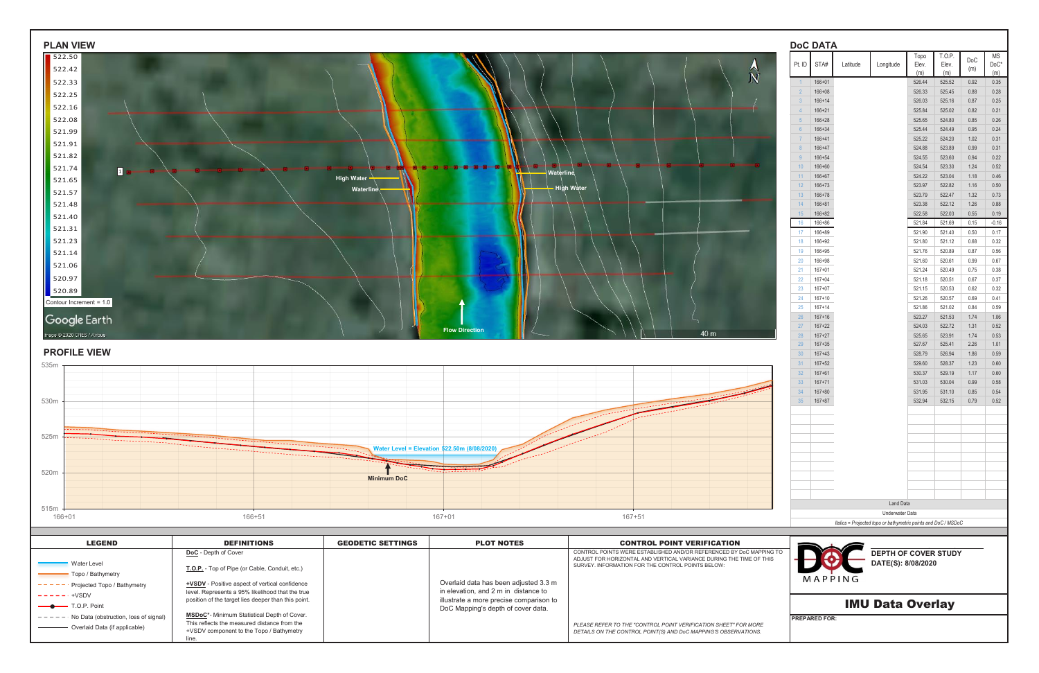| <b>PLAN VIEW</b>                                             |                                                                                             |                          |                                                                               |                                                                                                                                            | <b>DoC DATA</b>                   |                          |                                                                                   |                  |                  |              |                            |
|--------------------------------------------------------------|---------------------------------------------------------------------------------------------|--------------------------|-------------------------------------------------------------------------------|--------------------------------------------------------------------------------------------------------------------------------------------|-----------------------------------|--------------------------|-----------------------------------------------------------------------------------|------------------|------------------|--------------|----------------------------|
| $\sqrt{522.50}$                                              |                                                                                             |                          |                                                                               |                                                                                                                                            | Pt. ID $\sqrt{\frac{1}{10}}$ STA# | Latitude                 | Longitude                                                                         | Topo<br>Elev.    | T.O.P.<br>Elev.  | DoC          | MS<br>$\mathsf{DoC}^\star$ |
| 522.42                                                       |                                                                                             |                          |                                                                               | $\hat{\vec{N}}$                                                                                                                            |                                   |                          |                                                                                   | (m)              | (m)              | (m)          | (m)                        |
| 522.33                                                       |                                                                                             |                          |                                                                               |                                                                                                                                            |                                   | 166+01<br>$166 + 08$     |                                                                                   | 526.44<br>526.33 | 525.52<br>525.45 | 0.92<br>0.88 | 0.35<br>0.28               |
| 522.25                                                       |                                                                                             |                          |                                                                               |                                                                                                                                            |                                   | $166 + 14$               |                                                                                   | 526.03           | 525.16           | 0.87         | 0.25                       |
| 522.16                                                       |                                                                                             |                          |                                                                               |                                                                                                                                            | $\overline{4}$                    | $166 + 21$               |                                                                                   | 525.84           | 525.02           | 0.82         | 0.21                       |
| 522.08                                                       |                                                                                             |                          |                                                                               |                                                                                                                                            | 5 <sup>5</sup>                    | $166 + 28$<br>$166 + 34$ |                                                                                   | 525.65<br>525.44 | 524.80<br>524.49 | 0.85<br>0.95 | 0.26<br>0.24               |
| 521.99<br>521.91                                             |                                                                                             |                          |                                                                               |                                                                                                                                            |                                   | $166 + 41$               |                                                                                   | 525.22           | 524.20           | 1.02         | 0.31                       |
| 521.82                                                       |                                                                                             |                          |                                                                               |                                                                                                                                            |                                   | 166+47                   |                                                                                   | 524.88           | 523.89           | 0.99         | 0.31                       |
| 521.74                                                       |                                                                                             |                          |                                                                               |                                                                                                                                            | -9<br>10                          | 166+54<br>166+60         |                                                                                   | 524.55<br>524.54 | 523.60<br>523.30 | 0.94<br>1.24 | 0.22<br>0.52               |
| $\boxed{1}$<br>521.65                                        |                                                                                             | High Water -             | Waterline                                                                     |                                                                                                                                            | 11 <sup>1</sup>                   | 166+67                   |                                                                                   | 524.22           | 523.04           | 1.18         | 0.46                       |
| 521.57                                                       |                                                                                             | Waterline                |                                                                               | <b>High Water</b>                                                                                                                          | 12<br>$13 -$                      | $166 + 73$<br>$166 + 78$ |                                                                                   | 523.97<br>523.79 | 522.82<br>522.47 | 1.16<br>1.32 | 0.50<br>0.73               |
| 521.48                                                       |                                                                                             |                          |                                                                               |                                                                                                                                            | 14                                | $166 + 81$               |                                                                                   | 523.38           | 522.12           | 1.26         | 0.88                       |
| 521.40                                                       |                                                                                             |                          |                                                                               |                                                                                                                                            | 15                                | $166 + 82$               |                                                                                   | 522.58           | 522.03           | 0.55         | 0.19                       |
| 521.31                                                       |                                                                                             |                          |                                                                               |                                                                                                                                            | 16<br>17                          | 166+86<br>166+89         |                                                                                   | 521.84<br>521.90 | 521.69<br>521.40 | 0.15<br>0.50 | $-0.16$<br>0.17            |
| 521.23                                                       |                                                                                             |                          |                                                                               |                                                                                                                                            | 18                                | 166+92                   |                                                                                   | 521.80           | 521.12           | 0.68         | 0.32                       |
| 521.14                                                       |                                                                                             |                          |                                                                               |                                                                                                                                            | 19                                | 166+95                   |                                                                                   | 521.76           | 520.89           | 0.87         | $0.56\,$                   |
| 521.06                                                       |                                                                                             |                          |                                                                               |                                                                                                                                            | 20<br>21                          | 166+98<br>$167 + 01$     |                                                                                   | 521.60<br>521.24 | 520.61<br>520.49 | 0.99<br>0.75 | 0.67<br>0.38               |
| 520.97                                                       |                                                                                             |                          |                                                                               |                                                                                                                                            | 22                                | $167 + 04$               |                                                                                   | 521.18           | 520.51           | 0.67         | 0.37                       |
| 520.89                                                       |                                                                                             |                          |                                                                               |                                                                                                                                            | 23                                | $167 + 07$               |                                                                                   | 521.15           | 520.53           | 0.62         | 0.32                       |
| Contour Increment = 1.0                                      |                                                                                             |                          |                                                                               |                                                                                                                                            | 24<br>25                          | $167 + 10$<br>$167 + 14$ |                                                                                   | 521.26<br>521.86 | 520.57<br>521.02 | 0.69<br>0.84 | 0.41<br>0.59               |
| Google Earth                                                 |                                                                                             |                          |                                                                               |                                                                                                                                            | 26                                | $167 + 16$               |                                                                                   | 523.27           | 521.53           | 1.74         | 1.06                       |
|                                                              |                                                                                             |                          | <b>Flow Direction</b>                                                         | 40 m                                                                                                                                       | 27                                | $167 + 22$               |                                                                                   | 524.03           | 522.72           | 1.31         | 0.52                       |
| mage @ 2020 CNES / Airbus                                    |                                                                                             |                          |                                                                               |                                                                                                                                            | 28<br>29                          | $167 + 27$<br>$167 + 35$ |                                                                                   | 525.65<br>527.67 | 523.91<br>525.41 | 1.74<br>2.26 | 0.53<br>1.01               |
| <b>PROFILE VIEW</b>                                          |                                                                                             |                          |                                                                               |                                                                                                                                            | 30 <sup>°</sup>                   | $167 + 43$               |                                                                                   | 528.79           | 526.94           | 1.86         | 0.59                       |
|                                                              |                                                                                             |                          |                                                                               |                                                                                                                                            | 31                                | $167 + 52$               |                                                                                   | 529.60           | 528.37           | 1.23         | 0.60                       |
|                                                              |                                                                                             |                          |                                                                               |                                                                                                                                            | 32 <sup>2</sup><br>33             | $167 + 61$<br>$167 + 71$ |                                                                                   | 530.37<br>531.03 | 529.19<br>530.04 | 1.17<br>0.99 | 0.60<br>0.58               |
|                                                              |                                                                                             |                          |                                                                               |                                                                                                                                            | 34 <sup>2</sup>                   | $167 + 80$               |                                                                                   | 531.95           | 531.10           | 0.85         | 0.54                       |
|                                                              |                                                                                             |                          |                                                                               |                                                                                                                                            | 35                                | $167 + 87$               |                                                                                   | 532.94           | 532.15           | 0.79         | 0.52                       |
|                                                              |                                                                                             |                          |                                                                               |                                                                                                                                            |                                   |                          |                                                                                   |                  |                  |              |                            |
|                                                              |                                                                                             |                          |                                                                               |                                                                                                                                            |                                   |                          |                                                                                   |                  |                  |              |                            |
|                                                              |                                                                                             |                          |                                                                               |                                                                                                                                            |                                   |                          |                                                                                   |                  |                  |              |                            |
|                                                              | ---------------                                                                             |                          | Water Level = Elevation 522.50m (8/08/2020)                                   |                                                                                                                                            |                                   |                          |                                                                                   |                  |                  |              |                            |
| 520m                                                         |                                                                                             |                          |                                                                               |                                                                                                                                            |                                   |                          |                                                                                   |                  |                  |              |                            |
|                                                              |                                                                                             | <b>Minimum DoC</b>       |                                                                               |                                                                                                                                            |                                   |                          |                                                                                   |                  |                  |              |                            |
|                                                              |                                                                                             |                          |                                                                               |                                                                                                                                            |                                   |                          |                                                                                   |                  |                  |              |                            |
|                                                              |                                                                                             |                          |                                                                               |                                                                                                                                            |                                   |                          | <b>Land Data</b>                                                                  |                  |                  |              |                            |
| 515m<br>166+01                                               | 166+51                                                                                      |                          | $167 + 01$                                                                    | $167 + 51$                                                                                                                                 |                                   |                          | Underwater Data<br>Italics = Projected topo or bathymetric points and DoC / MSDoC |                  |                  |              |                            |
|                                                              |                                                                                             |                          |                                                                               |                                                                                                                                            |                                   |                          |                                                                                   |                  |                  |              |                            |
| <b>LEGEND</b>                                                | <b>DEFINITIONS</b>                                                                          | <b>GEODETIC SETTINGS</b> | <b>PLOT NOTES</b>                                                             | <b>CONTROL POINT VERIFICATION</b>                                                                                                          |                                   |                          |                                                                                   |                  |                  |              |                            |
|                                                              | DoC - Depth of Cover                                                                        |                          |                                                                               | CONTROL POINTS WERE ESTABLISHED AND/OR REFERENCED BY DoC MAPPING TO<br>ADJUST FOR HORIZONTAL AND VERTICAL VARIANCE DURING THE TIME OF THIS |                                   |                          | <b>DEPTH OF COVER STUDY</b>                                                       |                  |                  |              |                            |
| <b>Water Level</b>                                           | T.O.P. - Top of Pipe (or Cable, Conduit, etc.)                                              |                          |                                                                               | SURVEY. INFORMATION FOR THE CONTROL POINTS BELOW:                                                                                          |                                   |                          | DATE(S): 8/08/2020                                                                |                  |                  |              |                            |
| - Topo / Bathymetry<br>$- - - -$ Projected Topo / Bathymetry | <b>+VSDV</b> - Positive aspect of vertical confidence                                       |                          | Overlaid data has been adjusted 3.3 m                                         |                                                                                                                                            |                                   | MAPPING                  |                                                                                   |                  |                  |              |                            |
| $------++VSDV$                                               | level. Represents a 95% likelihood that the true                                            |                          | in elevation, and 2 m in distance to                                          |                                                                                                                                            |                                   |                          |                                                                                   |                  |                  |              |                            |
| T.O.P. Point                                                 | position of the target lies deeper than this point.                                         |                          | illustrate a more precise comparison to<br>DoC Mapping's depth of cover data. |                                                                                                                                            |                                   |                          | <b>IMU Data Overlay</b>                                                           |                  |                  |              |                            |
| $---$ - - No Data (obstruction, loss of signal)              | MSDoC*- Minimum Statistical Depth of Cover.<br>This reflects the measured distance from the |                          |                                                                               |                                                                                                                                            | <b>PREPARED FOR:</b>              |                          |                                                                                   |                  |                  |              |                            |
| - Overlaid Data (if applicable)                              | +VSDV component to the Topo / Bathymetry                                                    |                          |                                                                               | PLEASE REFER TO THE "CONTROL POINT VERIFICATION SHEET" FOR MORE<br>DETAILS ON THE CONTROL POINT(S) AND DoC MAPPING'S OBSERVATIONS.         |                                   |                          |                                                                                   |                  |                  |              |                            |
|                                                              | line.                                                                                       |                          |                                                                               |                                                                                                                                            |                                   |                          |                                                                                   |                  |                  |              |                            |





| LEGEND                                                                   | <b>DEFINITIONS</b>                                                                                                                               | <b>GEODETIC SETTINGS</b> | <b>PLOT NOTES</b>                                                                                                     | <b>CONTROL POINT VERIFICATION</b>                                                                                                                                                               |                                                             |
|--------------------------------------------------------------------------|--------------------------------------------------------------------------------------------------------------------------------------------------|--------------------------|-----------------------------------------------------------------------------------------------------------------------|-------------------------------------------------------------------------------------------------------------------------------------------------------------------------------------------------|-------------------------------------------------------------|
| <b>Water Level</b><br>Topo / Bathymetry<br>Projected Topo / Bathymetry   | <b>DoC</b> - Depth of Cover<br>T.O.P. - Top of Pipe (or Cable, Conduit, etc.)<br><b>+VSDV</b> - Positive aspect of vertical confidence           |                          | Overlaid data has been adjusted 3.3 m                                                                                 | CONTROL POINTS WERE ESTABLISHED AND/OR REFERENCED BY DoC MAPPING TO<br>ADJUST FOR HORIZONTAL AND VERTICAL VARIANCE DURING THE TIME OF THIS<br>SURVEY. INFORMATION FOR THE CONTROL POINTS BELOW: | <b>DEPTH OF COVER STUD</b><br>DATE(S): 8/08/2020<br>MAPPING |
| $- - - - - +$ +VSDV<br>$\longrightarrow$ T.O.P. Point                    | level. Represents a 95% likelihood that the true<br>position of the target lies deeper than this point.                                          |                          | in elevation, and 2 m in distance to<br>illustrate a more precise comparison to<br>DoC Mapping's depth of cover data. |                                                                                                                                                                                                 | <b>IMU Data Overlay</b>                                     |
| No Data (obstruction, loss of signal)<br>- Overlaid Data (if applicable) | MSDoC*- Minimum Statistical Depth of Cover.<br>This reflects the measured distance from the<br>+VSDV component to the Topo / Bathymetry<br>line. |                          |                                                                                                                       | PLEASE REFER TO THE "CONTROL POINT VERIFICATION SHEET" FOR MORE<br>DETAILS ON THE CONTROL POINT(S) AND DoC MAPPING'S OBSERVATIONS.                                                              | <b>IPREPARED FOR:</b>                                       |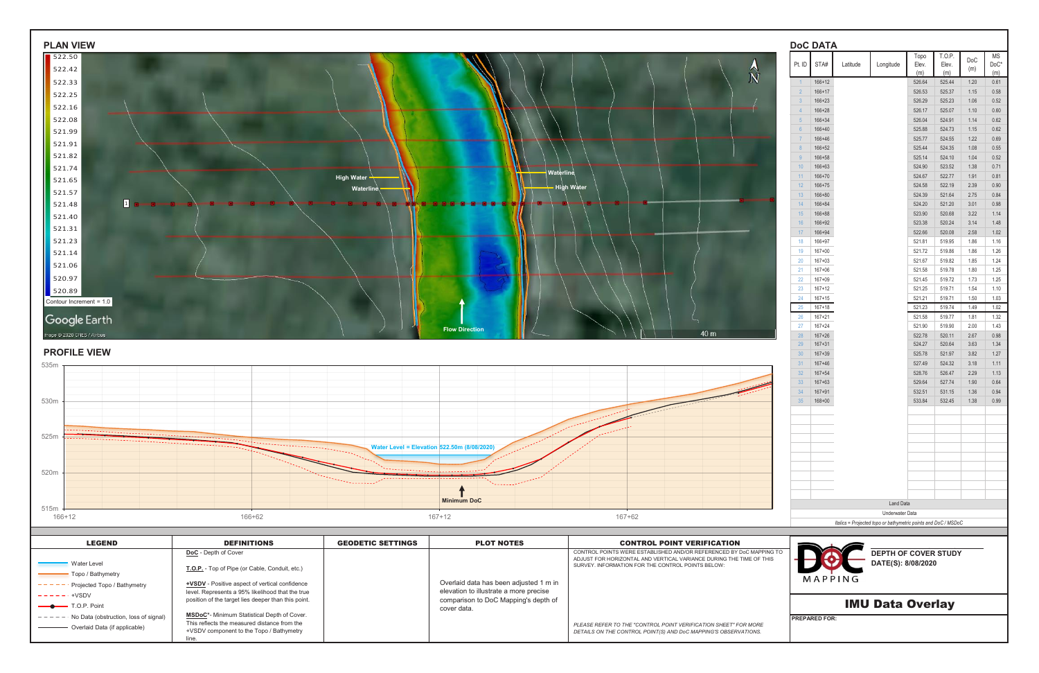| <b>PLAN VIEW</b>                                                                   |                                                                                                           |                           |                                                                                  |                                                                                                                          |                       | <b>DoC DATA</b>          |                                                                |                             |                  |                  |                |              |
|------------------------------------------------------------------------------------|-----------------------------------------------------------------------------------------------------------|---------------------------|----------------------------------------------------------------------------------|--------------------------------------------------------------------------------------------------------------------------|-----------------------|--------------------------|----------------------------------------------------------------|-----------------------------|------------------|------------------|----------------|--------------|
| $\sqrt{522.50}$                                                                    |                                                                                                           |                           |                                                                                  |                                                                                                                          |                       | Pt. ID $STA#$            | Latitude                                                       | Longitude                   | Topo<br>Elev.    | T.O.P.<br>Elev.  | $\mathsf{DoC}$ | MS<br>$DoC*$ |
| 522.42                                                                             |                                                                                                           |                           |                                                                                  | $\hat{\vec{N}}$                                                                                                          |                       |                          |                                                                |                             | (m)              | (m)              | (m)            | (m)          |
| 522.33                                                                             |                                                                                                           |                           |                                                                                  |                                                                                                                          |                       | $166 + 12$<br>$166 + 17$ |                                                                |                             | 526.64           | 525.44           | 1.20           | 0.61         |
| 522.25                                                                             |                                                                                                           |                           |                                                                                  |                                                                                                                          |                       | $166 + 23$               |                                                                |                             | 526.53<br>526.29 | 525.37<br>525.23 | 1.15<br>1.06   | 0.58<br>0.52 |
| 522.16                                                                             |                                                                                                           |                           |                                                                                  |                                                                                                                          | $\overline{4}$        | $166 + 28$               |                                                                |                             | 526.17           | 525.07           | 1.10           | 0.60         |
| 522.08                                                                             |                                                                                                           |                           |                                                                                  |                                                                                                                          |                       | $166 + 34$               |                                                                |                             | 526.04           | 524.91           | 1.14           | 0.62         |
| 521.99                                                                             |                                                                                                           |                           |                                                                                  |                                                                                                                          |                       | 166+40<br>166+46         |                                                                |                             | 525.88<br>525.77 | 524.73<br>524.55 | 1.15<br>1.22   | 0.62<br>0.69 |
| 521.91                                                                             |                                                                                                           |                           |                                                                                  |                                                                                                                          | 8                     | $166 + 52$               |                                                                |                             | 525.44           | 524.35           | 1.08           | 0.55         |
| 521.82                                                                             |                                                                                                           |                           |                                                                                  |                                                                                                                          |                       | 166+58                   |                                                                |                             | 525.14           | 524.10           | 1.04           | 0.52         |
| 521.74                                                                             |                                                                                                           |                           | Waterline                                                                        |                                                                                                                          | 10 <sup>1</sup><br>11 | 166+63<br>$166 + 70$     |                                                                |                             | 524.90<br>524.67 | 523.52<br>522.77 | 1.38<br>1.91   | 0.71<br>0.81 |
| 521.65                                                                             |                                                                                                           | High Water -<br>Waterline |                                                                                  | High Water                                                                                                               | 12                    | $166 + 75$               |                                                                |                             | 524.58           | 522.19           | 2.39           | 0.90         |
| 521.57                                                                             |                                                                                                           |                           |                                                                                  |                                                                                                                          | $13 -$                | $166 + 80$               |                                                                |                             | 524.39           | 521.64           | 2.75           | 0.84         |
| 1 <sub>0</sub><br>521.48                                                           |                                                                                                           |                           | -9-9-8                                                                           |                                                                                                                          | 14                    | 166+84                   |                                                                |                             | 524.20           | 521.20           | 3.01           | 0.98         |
| 521.40                                                                             |                                                                                                           |                           |                                                                                  |                                                                                                                          | 15 <sup>2</sup><br>16 | 166+88<br>166+92         |                                                                |                             | 523.90<br>523.38 | 520.68<br>520.24 | 3.22<br>3.14   | 1.14<br>1.48 |
| 521.31                                                                             |                                                                                                           |                           |                                                                                  |                                                                                                                          | 17                    | $166 + 94$               |                                                                |                             | 522.66           | 520.08           | 2.58           | 1.02         |
| 521.23                                                                             |                                                                                                           |                           |                                                                                  |                                                                                                                          | 18                    | 166+97                   |                                                                |                             | 521.81           | 519.95           | 1.86           | 1.16         |
| 521.14                                                                             |                                                                                                           |                           |                                                                                  |                                                                                                                          | 19<br>20              | $167 + 00$<br>$167 + 03$ |                                                                |                             | 521.72<br>521.67 | 519.86<br>519.82 | 1.86<br>1.85   | 1.26<br>1.24 |
| 521.06                                                                             |                                                                                                           |                           |                                                                                  |                                                                                                                          | 21                    | $167 + 06$               |                                                                |                             | 521.58           | 519.78           | 1.80           | 1.25         |
| 520.97                                                                             |                                                                                                           |                           |                                                                                  |                                                                                                                          | 22                    | $167 + 09$               |                                                                |                             | 521.45           | 519.72           | 1.73           | 1.25         |
| 520.89                                                                             |                                                                                                           |                           |                                                                                  |                                                                                                                          | 23                    | $167 + 12$               |                                                                |                             | 521.25           | 519.71           | 1.54           | 1.10         |
| Contour Increment = 1.0                                                            |                                                                                                           |                           |                                                                                  |                                                                                                                          | 24<br>25              | $167 + 15$<br>$167 + 18$ |                                                                |                             | 521.21<br>521.23 | 519.71<br>519.74 | 1.50<br>1.49   | 1.03<br>1.02 |
| Google Earth                                                                       |                                                                                                           |                           |                                                                                  |                                                                                                                          | 26                    | 167+21                   |                                                                |                             | 521.58           | 519.77           | 1.81           | 1.32         |
|                                                                                    |                                                                                                           |                           | <b>Flow Direction</b>                                                            | 40 m                                                                                                                     | 27                    | $167 + 24$               |                                                                |                             | 521.90           | 519.90           | 2.00           | 1.43         |
| mage @ 2020 CNES / Airbus                                                          |                                                                                                           |                           |                                                                                  |                                                                                                                          | 28<br>29              | $167 + 26$<br>$167 + 31$ |                                                                |                             | 522.78<br>524.27 | 520.11<br>520.64 | 2.67<br>3.63   | 0.98<br>1.34 |
| <b>PROFILE VIEW</b>                                                                |                                                                                                           |                           |                                                                                  |                                                                                                                          | 30 <sup>7</sup>       | $167 + 39$               |                                                                |                             | 525.78           | 521.97           | 3.82           | 1.27         |
|                                                                                    |                                                                                                           |                           |                                                                                  |                                                                                                                          | 31                    | $167 + 46$               |                                                                |                             | 527.49           | 524.32           | 3.18           | 1.11         |
|                                                                                    |                                                                                                           |                           |                                                                                  |                                                                                                                          | 32 <sup>2</sup><br>33 | $167 + 54$<br>$167 + 63$ |                                                                |                             | 528.76<br>529.64 | 526.47<br>527.74 | 2.29<br>1.90   | 1.13<br>0.64 |
|                                                                                    |                                                                                                           |                           |                                                                                  |                                                                                                                          | 34                    | $167 + 91$               |                                                                |                             | 532.51           | 531.15           | 1.36           | 0.94         |
|                                                                                    |                                                                                                           |                           |                                                                                  |                                                                                                                          | 35 <sup>2</sup>       | $168 + 00$               |                                                                |                             | 533.84           | 532.45           | 1.38           | 0.99         |
|                                                                                    |                                                                                                           |                           |                                                                                  |                                                                                                                          |                       |                          |                                                                |                             |                  |                  |                |              |
|                                                                                    |                                                                                                           |                           |                                                                                  |                                                                                                                          |                       |                          |                                                                |                             |                  |                  |                |              |
| ----------------------------------                                                 |                                                                                                           |                           |                                                                                  |                                                                                                                          |                       |                          |                                                                |                             |                  |                  |                |              |
|                                                                                    | ,,,,,,,,,,,,,,,,,,,,                                                                                      |                           | Water Level = Elevation 522.50m (8/08/2020)                                      |                                                                                                                          |                       |                          |                                                                |                             |                  |                  |                |              |
|                                                                                    |                                                                                                           |                           |                                                                                  |                                                                                                                          |                       |                          |                                                                |                             |                  |                  |                |              |
| 520m                                                                               |                                                                                                           | -------------             | . <u>.</u> .                                                                     |                                                                                                                          |                       |                          |                                                                |                             |                  |                  |                |              |
|                                                                                    |                                                                                                           | ,,,,,,,,,,                |                                                                                  |                                                                                                                          |                       |                          |                                                                |                             |                  |                  |                |              |
|                                                                                    |                                                                                                           |                           | <b>Minimum DoC</b>                                                               |                                                                                                                          |                       |                          |                                                                | Land Data                   |                  |                  |                |              |
| 515m<br>166+12                                                                     | 166+62                                                                                                    |                           | $167 + 12$                                                                       | $167 + 62$                                                                                                               |                       |                          |                                                                | Underwater Data             |                  |                  |                |              |
|                                                                                    |                                                                                                           |                           |                                                                                  |                                                                                                                          |                       |                          | Italics = Projected topo or bathymetric points and DoC / MSDoC |                             |                  |                  |                |              |
| <b>LEGEND</b>                                                                      | <b>DEFINITIONS</b>                                                                                        | <b>GEODETIC SETTINGS</b>  | <b>PLOT NOTES</b>                                                                | <b>CONTROL POINT VERIFICATION</b>                                                                                        |                       |                          |                                                                |                             |                  |                  |                |              |
|                                                                                    | DoC - Depth of Cover                                                                                      |                           |                                                                                  | CONTROL POINTS WERE ESTABLISHED AND/OR REFERENCED BY DoC MAPPING TO                                                      |                       |                          |                                                                | <b>DEPTH OF COVER STUDY</b> |                  |                  |                |              |
| <b>Water Level</b>                                                                 | T.O.P. - Top of Pipe (or Cable, Conduit, etc.)                                                            |                           |                                                                                  | ADJUST FOR HORIZONTAL AND VERTICAL VARIANCE DURING THE TIME OF THIS<br>SURVEY. INFORMATION FOR THE CONTROL POINTS BELOW: |                       |                          |                                                                | DATE(S): 8/08/2020          |                  |                  |                |              |
| - Topo / Bathymetry                                                                |                                                                                                           |                           |                                                                                  |                                                                                                                          |                       | MAPPING                  |                                                                |                             |                  |                  |                |              |
| $---$ - Projected Topo / Bathymetry                                                | <b>+VSDV</b> - Positive aspect of vertical confidence<br>level. Represents a 95% likelihood that the true |                           | Overlaid data has been adjusted 1 m in<br>elevation to illustrate a more precise |                                                                                                                          |                       |                          |                                                                |                             |                  |                  |                |              |
| $------+VSDV$                                                                      | position of the target lies deeper than this point.                                                       |                           | comparison to DoC Mapping's depth of                                             |                                                                                                                          |                       |                          |                                                                | <b>IMU Data Overlay</b>     |                  |                  |                |              |
| -T.O.P. Point                                                                      | MSDoC*- Minimum Statistical Depth of Cover.                                                               |                           | cover data.                                                                      |                                                                                                                          |                       |                          |                                                                |                             |                  |                  |                |              |
| $- - - -$ No Data (obstruction, loss of signal)<br>- Overlaid Data (if applicable) | This reflects the measured distance from the                                                              |                           |                                                                                  | PLEASE REFER TO THE "CONTROL POINT VERIFICATION SHEET" FOR MORE                                                          |                       | <b>PREPARED FOR:</b>     |                                                                |                             |                  |                  |                |              |
|                                                                                    | +VSDV component to the Topo / Bathymetry<br>line.                                                         |                           |                                                                                  | DETAILS ON THE CONTROL POINT(S) AND DoC MAPPING'S OBSERVATIONS.                                                          |                       |                          |                                                                |                             |                  |                  |                |              |
|                                                                                    |                                                                                                           |                           |                                                                                  |                                                                                                                          |                       |                          |                                                                |                             |                  |                  |                |              |





| <b>LEGEND</b>                                                          | <b>DEFINITIONS</b>                                                                                                                                                                         | <b>GEODETIC SETTINGS</b> | <b>PLOT NOTES</b>                                                                | <b>CONTROL POINT VERIFICATION</b>                                                                                                                                                               |                                                             |
|------------------------------------------------------------------------|--------------------------------------------------------------------------------------------------------------------------------------------------------------------------------------------|--------------------------|----------------------------------------------------------------------------------|-------------------------------------------------------------------------------------------------------------------------------------------------------------------------------------------------|-------------------------------------------------------------|
| Water Level<br>Topo / Bathymetry<br>Projected Topo / Bathymetry        | <b>DoC</b> - Depth of Cover<br>T.O.P. - Top of Pipe (or Cable, Conduit, etc.)<br><b>+VSDV</b> - Positive aspect of vertical confidence<br>level. Represents a 95% likelihood that the true |                          | Overlaid data has been adjusted 1 m in<br>elevation to illustrate a more precise | CONTROL POINTS WERE ESTABLISHED AND/OR REFERENCED BY DoC MAPPING TO<br>ADJUST FOR HORIZONTAL AND VERTICAL VARIANCE DURING THE TIME OF THIS<br>SURVEY. INFORMATION FOR THE CONTROL POINTS BELOW: | <b>DEPTH OF COVER STUD</b><br>DATE(S): 8/08/2020<br>MAPPING |
| $- - - - - - +$ VSDV<br>$\longrightarrow$ T.O.P. Point                 | position of the target lies deeper than this point.                                                                                                                                        |                          | comparison to DoC Mapping's depth of<br>cover data.                              |                                                                                                                                                                                                 | <b>IMU Data Overlay</b>                                     |
| No Data (obstruction, loss of signal)<br>Overlaid Data (if applicable) | <b>MSDoC*-</b> Minimum Statistical Depth of Cover.<br>This reflects the measured distance from the<br>+VSDV component to the Topo / Bathymetry                                             |                          |                                                                                  | PLEASE REFER TO THE "CONTROL POINT VERIFICATION SHEET" FOR MORE<br>DETAILS ON THE CONTROL POINT(S) AND DoC MAPPING'S OBSERVATIONS.                                                              | <b>IPREPARED FOR:</b>                                       |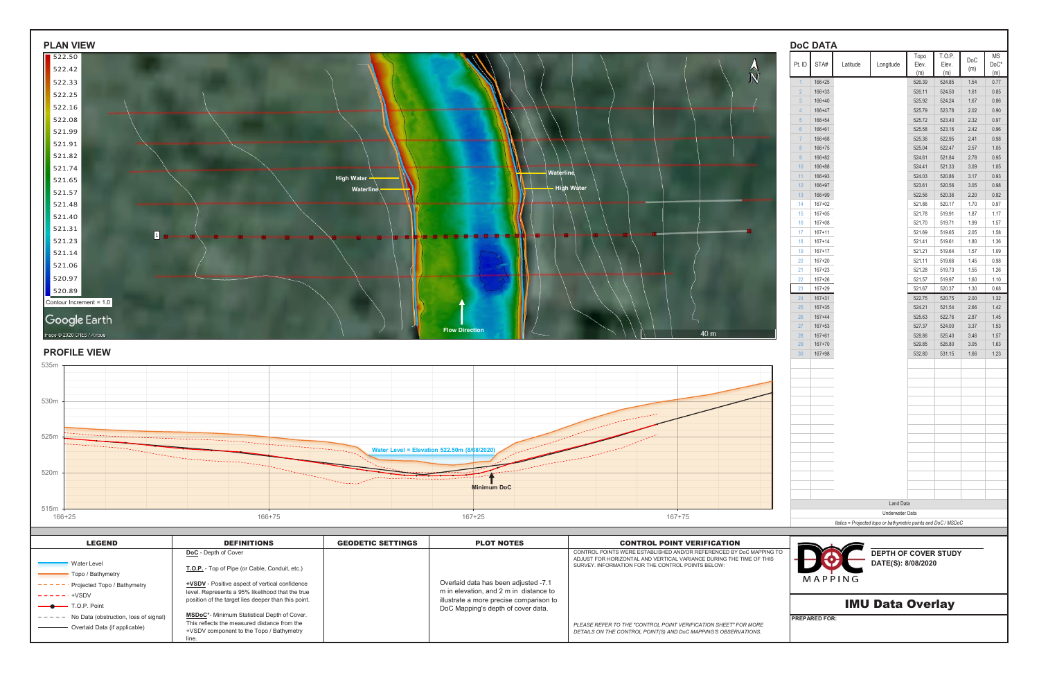| <b>Water Level</b><br>- Topo / Bathymetry<br>$---$ - - Projected Topo / Bathymetry<br>$------++VSDV$<br>-T.O.P. Point | +VSDV - Positive aspect of vertical confidence<br>level. Represents a 95% likelihood that the true<br>position of the target lies deeper than this point. |                              | m in elevation, and 2 m in distance to<br>illustrate a more precise comparison to |                                                                                                                                                                                                 | <b>IMU Data Overlay</b>                                                           |                                                          |                                                 |
|-----------------------------------------------------------------------------------------------------------------------|-----------------------------------------------------------------------------------------------------------------------------------------------------------|------------------------------|-----------------------------------------------------------------------------------|-------------------------------------------------------------------------------------------------------------------------------------------------------------------------------------------------|-----------------------------------------------------------------------------------|----------------------------------------------------------|-------------------------------------------------|
|                                                                                                                       | DoC - Depth of Cover<br>T.O.P. - Top of Pipe (or Cable, Conduit, etc.)                                                                                    |                              | Overlaid data has been adjusted -7.1                                              | CONTROL POINTS WERE ESTABLISHED AND/OR REFERENCED BY DoC MAPPING TO<br>ADJUST FOR HORIZONTAL AND VERTICAL VARIANCE DURING THE TIME OF THIS<br>SURVEY. INFORMATION FOR THE CONTROL POINTS BELOW: | MAPPING                                                                           | <b>DEPTH OF COVER STUDY</b><br>DATE(S): 8/08/2020        |                                                 |
| <b>LEGEND</b>                                                                                                         | <b>DEFINITIONS</b>                                                                                                                                        | <b>GEODETIC SETTINGS</b>     | <b>PLOT NOTES</b>                                                                 | <b>CONTROL POINT VERIFICATION</b>                                                                                                                                                               |                                                                                   |                                                          |                                                 |
| 515m<br>166+25                                                                                                        | 166+75                                                                                                                                                    |                              | $167 + 25$                                                                        | 167+75                                                                                                                                                                                          | Underwater Data<br>Italics = Projected topo or bathymetric points and DoC / MSDoC |                                                          |                                                 |
|                                                                                                                       |                                                                                                                                                           |                              | <b>Minimum DoC</b>                                                                |                                                                                                                                                                                                 | <b>Land Data</b>                                                                  |                                                          |                                                 |
| 520m                                                                                                                  |                                                                                                                                                           | ,,,,,,,,,,,,,,,,,,,,,,,,,,,, |                                                                                   |                                                                                                                                                                                                 |                                                                                   |                                                          |                                                 |
|                                                                                                                       |                                                                                                                                                           |                              | Water Level = Elevation 522.50m (8/08/2020)                                       |                                                                                                                                                                                                 |                                                                                   |                                                          |                                                 |
| 525m                                                                                                                  |                                                                                                                                                           |                              |                                                                                   |                                                                                                                                                                                                 |                                                                                   |                                                          |                                                 |
| 530m                                                                                                                  |                                                                                                                                                           |                              |                                                                                   |                                                                                                                                                                                                 |                                                                                   |                                                          |                                                 |
|                                                                                                                       |                                                                                                                                                           |                              |                                                                                   |                                                                                                                                                                                                 |                                                                                   |                                                          |                                                 |
| <b>PROFILE VIEW</b><br>535m                                                                                           |                                                                                                                                                           |                              |                                                                                   |                                                                                                                                                                                                 | 30 <sup>7</sup><br>$167 + 98$                                                     | 532.80<br>531.15                                         | 1.66<br>1.23                                    |
| mage @ 2020 CNES / Airbus                                                                                             |                                                                                                                                                           |                              | <b>Flow Direction</b>                                                             | 40 m                                                                                                                                                                                            | $167 + 61$<br>28<br>29<br>$167 + 70$                                              | 528.86<br>525.40<br>529.85<br>526.80                     | 1.53<br>3.46<br>1.57<br>3.05<br>1.63            |
| Google Earth                                                                                                          |                                                                                                                                                           |                              |                                                                                   |                                                                                                                                                                                                 | $167 + 35$<br>25<br>26<br>$167 + 44$<br>27<br>$167 + 53$                          | 524.21<br>521.54<br>525.63<br>522.76<br>527.37<br>524.00 | 2.66<br>1.42<br>2.87<br>1.45<br>3.37            |
| 520.89<br>Contour Increment = 1.0                                                                                     |                                                                                                                                                           |                              |                                                                                   |                                                                                                                                                                                                 | $167 + 29$<br>23<br>$167 + 31$<br>24                                              | 521.67<br>520.37<br>522.75<br>520.75                     | 0.68<br>1.30<br>2.00<br>1.32                    |
| 521.06<br>520.97                                                                                                      |                                                                                                                                                           |                              |                                                                                   |                                                                                                                                                                                                 | 20<br>$167 + 20$<br>21<br>$167 + 23$<br>22<br>$167 + 26$                          | 521.11<br>519.66<br>521.28<br>519.73<br>521.57<br>519.97 | 0.98<br>1.45<br>1.26<br>1.55<br>1.60<br>1.10    |
| $\boxed{1}$<br>521.23<br>521.14                                                                                       |                                                                                                                                                           |                              |                                                                                   |                                                                                                                                                                                                 | $167 + 14$<br>18<br>19<br>$167 + 17$                                              | 521.41<br>519.61<br>521.21<br>519.64                     | 1.80<br>1.36<br>1.09<br>1.57                    |
| 521.40<br>521.31                                                                                                      |                                                                                                                                                           |                              |                                                                                   |                                                                                                                                                                                                 | $167 + 05$<br>15<br>16<br>$167 + 08$<br>$167 + 11$<br>17                          | 521.78<br>519.91<br>521.70<br>519.71<br>521.69<br>519.65 | 1.87<br>1.17<br>1.99<br>1.57<br>2.05<br>1.58    |
| 521.57<br>521.48                                                                                                      |                                                                                                                                                           | Waterline                    |                                                                                   | <b>High Water</b>                                                                                                                                                                               | 166+99<br>13<br>$167 + 02$<br>14                                                  | 522.56<br>520.36<br>521.86<br>520.17                     | 0.82<br>2.20<br>0.97<br>1.70                    |
| 521.74<br>521.65                                                                                                      |                                                                                                                                                           | High Water -                 | Waterline                                                                         |                                                                                                                                                                                                 | 166+88<br>$10-10$<br>$11 -$<br>$166 + 93$<br>12<br>166+97                         | 524.41<br>521.33<br>524.03<br>520.86<br>523.61<br>520.56 | 3.09<br>1.05<br>0.93<br>3.17<br>0.98<br>3.05    |
| 521.91<br>521.82                                                                                                      |                                                                                                                                                           |                              |                                                                                   |                                                                                                                                                                                                 | $166 + 75$<br>166+82                                                              | 522.47<br>525.04<br>524.61<br>521.84                     | 2.57<br>1.05<br>2.78<br>0.95                    |
| 521.99                                                                                                                |                                                                                                                                                           |                              |                                                                                   |                                                                                                                                                                                                 | 166+61<br>166+68                                                                  | 525.58<br>523.16<br>525.36<br>522.95                     | 2.42<br>0.96<br>2.41<br>0.98                    |
| 522.16<br>522.08                                                                                                      |                                                                                                                                                           |                              |                                                                                   |                                                                                                                                                                                                 | 166+40<br>166+47<br>$\overline{4}$<br>$166 + 54$                                  | 525.92<br>524.24<br>525.79<br>523.78<br>523.40<br>525.72 | 0.86<br>1.67<br>2.02<br>0.90<br>2.32<br>0.97    |
| 522.33<br>522.25                                                                                                      |                                                                                                                                                           |                              |                                                                                   |                                                                                                                                                                                                 | 166+25<br>$166 + 33$                                                              | 526.39<br>524.85<br>526.11<br>524.50                     | 0.77<br>1.54<br>0.85<br>1.61                    |
|                                                                                                                       |                                                                                                                                                           |                              |                                                                                   | N                                                                                                                                                                                               | Pt. ID $\sqrt{\text{STA#}}$<br>Latitude<br>Longitude                              | T.O.P.<br>Topo<br>Elev.<br>Elev.<br>(m)<br>(m)           | ΜS<br>DoC<br>$\mathsf{DoC}^\star$<br>(m)<br>(m) |
| 522.50<br>522.42                                                                                                      |                                                                                                                                                           |                              |                                                                                   |                                                                                                                                                                                                 |                                                                                   |                                                          |                                                 |



| <b>LEGEND</b>                                      | <b>DEFINITIONS</b>                                                                       | <b>GEODETIC SETTINGS</b> | <b>PLOT NOTES</b>                                                             | <b>CONTROL POINT VERIFICATION</b>                                                                                                          |                            |
|----------------------------------------------------|------------------------------------------------------------------------------------------|--------------------------|-------------------------------------------------------------------------------|--------------------------------------------------------------------------------------------------------------------------------------------|----------------------------|
|                                                    | <b>DoC</b> - Depth of Cover                                                              |                          |                                                                               | CONTROL POINTS WERE ESTABLISHED AND/OR REFERENCED BY DoC MAPPING TO<br>ADJUST FOR HORIZONTAL AND VERTICAL VARIANCE DURING THE TIME OF THIS | <b>DEPTH OF COVER STUD</b> |
| Water Level                                        | T.O.P. - Top of Pipe (or Cable, Conduit, etc.)                                           |                          |                                                                               | SURVEY. INFORMATION FOR THE CONTROL POINTS BELOW:                                                                                          | DATE(S): 8/08/2020         |
| - Topo / Bathymetry<br>Projected Topo / Bathymetry | <b>+VSDV</b> - Positive aspect of vertical confidence                                    |                          | Overlaid data has been adjusted -7.1                                          |                                                                                                                                            | MAPPING                    |
| $- - - - - - +$ VSDV                               | level. Represents a 95% likelihood that the true                                         |                          | m in elevation, and 2 m in distance to                                        |                                                                                                                                            |                            |
| $\longrightarrow$ T.O.P. Point                     | position of the target lies deeper than this point.                                      |                          | illustrate a more precise comparison to<br>DoC Mapping's depth of cover data. |                                                                                                                                            | <b>IMU Data Overlay</b>    |
| $- -$ No Data (obstruction, loss of signal)        | MSDoC*- Minimum Statistical Depth of Cover.                                              |                          |                                                                               |                                                                                                                                            | <b>IPREPARED FOR:</b>      |
| Overlaid Data (if applicable)                      | This reflects the measured distance from the<br>+VSDV component to the Topo / Bathymetry |                          |                                                                               | PLEASE REFER TO THE "CONTROL POINT VERIFICATION SHEET" FOR MORE                                                                            |                            |
|                                                    |                                                                                          |                          |                                                                               | DETAILS ON THE CONTROL POINT(S) AND DoC MAPPING'S OBSERVATIONS.                                                                            |                            |